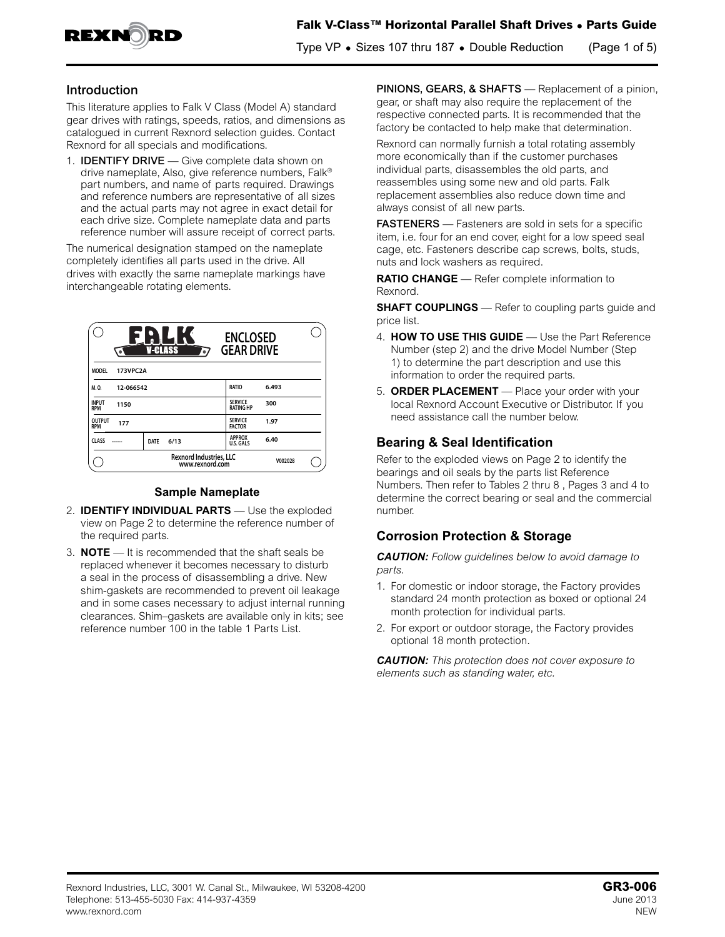

## **Introduction**

This literature applies to Falk V Class (Model A) standard gear drives with ratings, speeds, ratios, and dimensions as catalogued in current Rexnord selection guides. Contact Rexnord for all specials and modifications.

1. IDENTIFY DRIVE — Give complete data shown on drive nameplate, Also, give reference numbers, Falk® part numbers, and name of parts required. Drawings and reference numbers are representative of all sizes and the actual parts may not agree in exact detail for each drive size. Complete nameplate data and parts reference number will assure receipt of correct parts.

The numerical designation stamped on the nameplate completely identifies all parts used in the drive. All drives with exactly the same nameplate markings have interchangeable rotating elements.

|                                                   | <b>V-CLASS</b><br>'=i | <b>ENCLOSED</b><br><b>GEAR DRIVE</b> |         |  |
|---------------------------------------------------|-----------------------|--------------------------------------|---------|--|
| 173VPC2A<br><b>MODEL</b>                          |                       |                                      |         |  |
| M.O.<br>12-066542                                 |                       | <b>RATIO</b>                         | 6.493   |  |
| <b>INPUT</b><br>1150<br><b>RPM</b>                |                       | <b>SERVICE</b><br><b>RATING HP</b>   | 300     |  |
| <b>OUTPUT</b><br>177<br><b>RPM</b>                |                       | <b>SERVICE</b><br><b>FACTOR</b>      | 1.97    |  |
| <b>CLASS</b>                                      | <b>DATE</b><br>6/13   | <b>APPROX</b><br>U.S. GALS           | 6.40    |  |
| <b>Rexnord Industries, LLC</b><br>www.rexnord.com |                       |                                      | V002028 |  |

#### **Sample Nameplate**

- 2. **IDENTIFY INDIVIDUAL PARTS** Use the exploded view on Page 2 to determine the reference number of the required parts.
- 3. **NOTE**  It is recommended that the shaft seals be replaced whenever it becomes necessary to disturb a seal in the process of disassembling a drive. New shim-gaskets are recommended to prevent oil leakage and in some cases necessary to adjust internal running clearances. Shim–gaskets are available only in kits; see reference number 100 in the table 1 Parts List.

PINIONS, GEARS, & SHAFTS - Replacement of a pinion, gear, or shaft may also require the replacement of the respective connected parts. It is recommended that the factory be contacted to help make that determination.

Rexnord can normally furnish a total rotating assembly more economically than if the customer purchases individual parts, disassembles the old parts, and reassembles using some new and old parts. Falk replacement assemblies also reduce down time and always consist of all new parts.

FASTENERS - Fasteners are sold in sets for a specific item, i.e. four for an end cover, eight for a low speed seal cage, etc. Fasteners describe cap screws, bolts, studs, nuts and lock washers as required.

**RATIO CHANGE** — Refer complete information to Rexnord.

**SHAFT COUPLINGS** — Refer to coupling parts guide and price list.

- 4. **HOW TO USE THIS GUIDE** Use the Part Reference Number (step 2) and the drive Model Number (Step 1) to determine the part description and use this information to order the required parts.
- 5. **ORDER PLACEMENT** Place your order with your local Rexnord Account Executive or Distributor. If you need assistance call the number below.

# **Bearing & Seal Identification**

Refer to the exploded views on Page 2 to identify the bearings and oil seals by the parts list Reference Numbers. Then refer to Tables 2 thru 8 , Pages 3 and 4 to determine the correct bearing or seal and the commercial number.

# **Corrosion Protection & Storage**

*CAUTION: Follow guidelines below to avoid damage to parts.*

- 1. For domestic or indoor storage, the Factory provides standard 24 month protection as boxed or optional 24 month protection for individual parts.
- 2. For export or outdoor storage, the Factory provides optional 18 month protection.

*CAUTION: This protection does not cover exposure to elements such as standing water, etc.*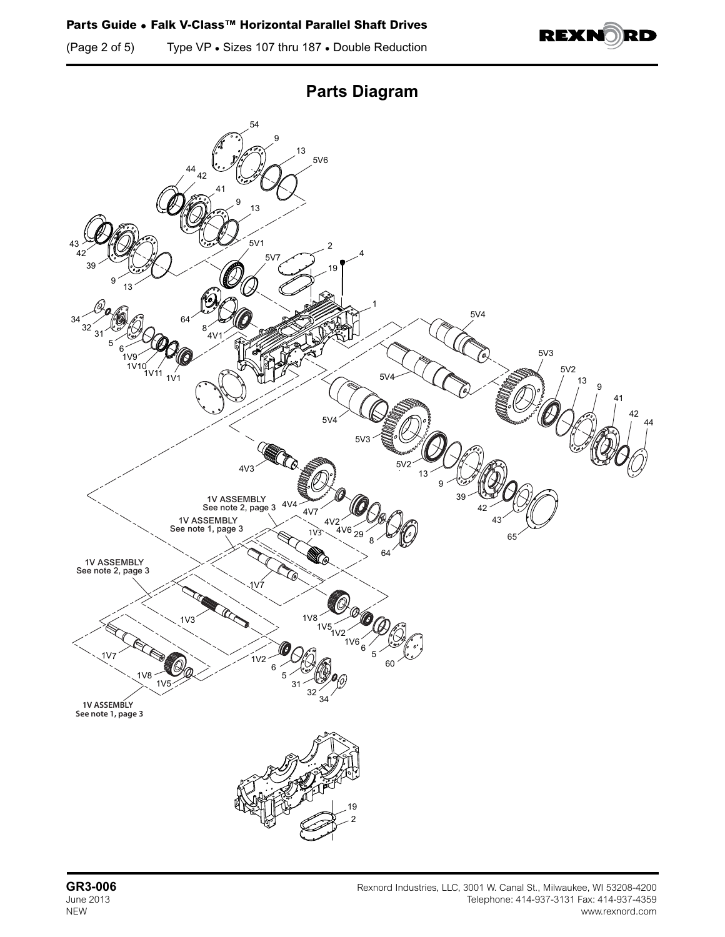(Page 2 of 5) Type VP • Sizes 107 thru 187 • Double Reduction





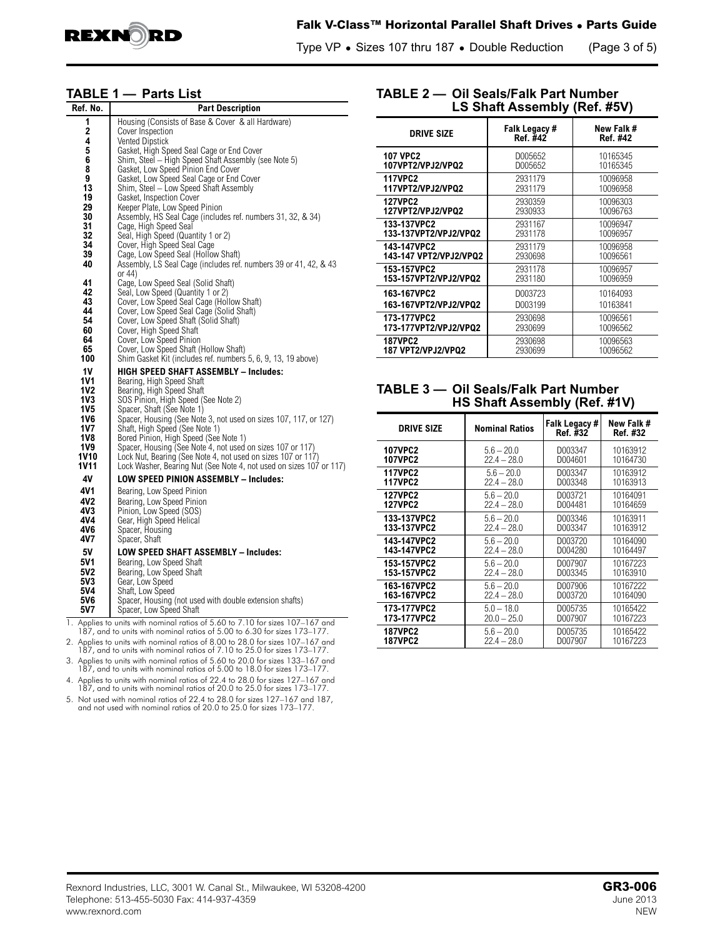

### **Falk V-Class™ Horizontal Parallel Shaft Drives • Parts Guide**

Type VP **•** Sizes 107 thru 187 **•** Double Reduction (Page 3 of 5)

#### **TABLE 1 — Parts List**

| Ref. No.                                                                                                                                                                                                           | <b>Part Description</b>                                                                                                                                                                                                                                                                                                                                                                                                                                                                                                                                                                                                                                                                                                                                                                                                                                                                                                                                                                                                                                                                                                                                                                                                                                                                                                                                                                                                                                                                                           |
|--------------------------------------------------------------------------------------------------------------------------------------------------------------------------------------------------------------------|-------------------------------------------------------------------------------------------------------------------------------------------------------------------------------------------------------------------------------------------------------------------------------------------------------------------------------------------------------------------------------------------------------------------------------------------------------------------------------------------------------------------------------------------------------------------------------------------------------------------------------------------------------------------------------------------------------------------------------------------------------------------------------------------------------------------------------------------------------------------------------------------------------------------------------------------------------------------------------------------------------------------------------------------------------------------------------------------------------------------------------------------------------------------------------------------------------------------------------------------------------------------------------------------------------------------------------------------------------------------------------------------------------------------------------------------------------------------------------------------------------------------|
| 1<br>2<br>4<br>5<br>6<br>8<br>9<br>13<br>19<br>29<br>30<br>31<br>32<br>34<br>39<br>40<br>41<br>42<br>43<br>44<br>54<br>60<br>64<br>65<br>100<br>1V<br>1V1<br>1V2<br>1V3<br>1V5<br>1V6<br>1V7<br>1V8<br>1V9<br>1V10 | Housing (Consists of Base & Cover & all Hardware)<br>Cover Inspection<br>Vented Dipstick<br>Gasket, High Speed Seal Cage or End Cover<br>Shim, Steel - High Speed Shaft Assembly (see Note 5)<br>Gasket, Low Speed Pinion End Cover<br>Gasket, Low Speed Seal Cage or End Cover<br>Shim, Steel - Low Speed Shaft Assembly<br>Gasket, Inspection Cover<br>Keeper Plate, Low Speed Pinion<br>Assembly, HS Seal Cage (includes ref. numbers 31, 32, & 34)<br>Cage, High Speed Seal<br>Seal, High Speed (Quantity 1 or 2)<br>Cover, High Speed Seal Cage<br>Cage, Low Speed Seal (Hollow Shaft)<br>Assembly, LS Seal Cage (includes ref. numbers 39 or 41, 42, & 43<br>or 44)<br>Cage, Low Speed Seal (Solid Shaft)<br>Seal, Low Speed (Quantity 1 or 2)<br>Cover, Low Speed Seal Cage (Hollow Shaft)<br>Cover, Low Speed Seal Cage (Solid Shaft)<br>Cover, Low Speed Shaft (Solid Shaft)<br>Cover, High Speed Shaft<br>Cover, Low Speed Pinion<br>Cover, Low Speed Shaft (Hollow Shaft)<br>Shim Gasket Kit (includes ref. numbers 5, 6, 9, 13, 19 above)<br><b>HIGH SPEED SHAFT ASSEMBLY - Includes:</b><br>Bearing, High Speed Shaft<br>Bearing, High Speed Shaft<br>SOS Pinion, High Speed (See Note 2)<br>Spacer, Shaft (See Note 1)<br>Spacer, Housing (See Note 3, not used on sizes 107, 117, or 127)<br>Shaft, High Speed (See Note 1)<br>Bored Pinion, High Speed (See Note 1)<br>Spacer, Housing (See Note 4, not used on sizes 107 or 117)<br>Lock Nut, Bearing (See Note 4, not used on sizes 107 or 117) |
| <b>1V11</b>                                                                                                                                                                                                        | Lock Washer, Bearing Nut (See Note 4, not used on sizes 107 or 117)                                                                                                                                                                                                                                                                                                                                                                                                                                                                                                                                                                                                                                                                                                                                                                                                                                                                                                                                                                                                                                                                                                                                                                                                                                                                                                                                                                                                                                               |
| 4٧                                                                                                                                                                                                                 | LOW SPEED PINION ASSEMBLY - Includes:                                                                                                                                                                                                                                                                                                                                                                                                                                                                                                                                                                                                                                                                                                                                                                                                                                                                                                                                                                                                                                                                                                                                                                                                                                                                                                                                                                                                                                                                             |
| 4V1                                                                                                                                                                                                                | Bearing, Low Speed Pinion                                                                                                                                                                                                                                                                                                                                                                                                                                                                                                                                                                                                                                                                                                                                                                                                                                                                                                                                                                                                                                                                                                                                                                                                                                                                                                                                                                                                                                                                                         |
| 4V2                                                                                                                                                                                                                | Bearing, Low Speed Pinion                                                                                                                                                                                                                                                                                                                                                                                                                                                                                                                                                                                                                                                                                                                                                                                                                                                                                                                                                                                                                                                                                                                                                                                                                                                                                                                                                                                                                                                                                         |
| 4V3                                                                                                                                                                                                                | Pinion, Low Speed (SOS)                                                                                                                                                                                                                                                                                                                                                                                                                                                                                                                                                                                                                                                                                                                                                                                                                                                                                                                                                                                                                                                                                                                                                                                                                                                                                                                                                                                                                                                                                           |
| 4V4                                                                                                                                                                                                                | Gear, High Speed Helical                                                                                                                                                                                                                                                                                                                                                                                                                                                                                                                                                                                                                                                                                                                                                                                                                                                                                                                                                                                                                                                                                                                                                                                                                                                                                                                                                                                                                                                                                          |
| 4V6                                                                                                                                                                                                                | Spacer, Housing                                                                                                                                                                                                                                                                                                                                                                                                                                                                                                                                                                                                                                                                                                                                                                                                                                                                                                                                                                                                                                                                                                                                                                                                                                                                                                                                                                                                                                                                                                   |
| 4V7                                                                                                                                                                                                                | Spacer, Shaft                                                                                                                                                                                                                                                                                                                                                                                                                                                                                                                                                                                                                                                                                                                                                                                                                                                                                                                                                                                                                                                                                                                                                                                                                                                                                                                                                                                                                                                                                                     |
| 5٧                                                                                                                                                                                                                 | <b>LOW SPEED SHAFT ASSEMBLY - Includes:</b>                                                                                                                                                                                                                                                                                                                                                                                                                                                                                                                                                                                                                                                                                                                                                                                                                                                                                                                                                                                                                                                                                                                                                                                                                                                                                                                                                                                                                                                                       |
| 5V1                                                                                                                                                                                                                | Bearing, Low Speed Shaft                                                                                                                                                                                                                                                                                                                                                                                                                                                                                                                                                                                                                                                                                                                                                                                                                                                                                                                                                                                                                                                                                                                                                                                                                                                                                                                                                                                                                                                                                          |
| 5V2                                                                                                                                                                                                                | Bearing, Low Speed Shaft                                                                                                                                                                                                                                                                                                                                                                                                                                                                                                                                                                                                                                                                                                                                                                                                                                                                                                                                                                                                                                                                                                                                                                                                                                                                                                                                                                                                                                                                                          |
| 5V3                                                                                                                                                                                                                | Gear, Low Speed                                                                                                                                                                                                                                                                                                                                                                                                                                                                                                                                                                                                                                                                                                                                                                                                                                                                                                                                                                                                                                                                                                                                                                                                                                                                                                                                                                                                                                                                                                   |
| 5V4                                                                                                                                                                                                                | Shaft, Low Speed                                                                                                                                                                                                                                                                                                                                                                                                                                                                                                                                                                                                                                                                                                                                                                                                                                                                                                                                                                                                                                                                                                                                                                                                                                                                                                                                                                                                                                                                                                  |
| 5V6                                                                                                                                                                                                                | Spacer, Housing (not used with double extension shafts)                                                                                                                                                                                                                                                                                                                                                                                                                                                                                                                                                                                                                                                                                                                                                                                                                                                                                                                                                                                                                                                                                                                                                                                                                                                                                                                                                                                                                                                           |
| 5V7                                                                                                                                                                                                                | Spacer, Low Speed Shaft                                                                                                                                                                                                                                                                                                                                                                                                                                                                                                                                                                                                                                                                                                                                                                                                                                                                                                                                                                                                                                                                                                                                                                                                                                                                                                                                                                                                                                                                                           |
|                                                                                                                                                                                                                    | 1. Applies to units with nominal ratios of 5.60 to 7.10 for sizes 107-167 and<br>187, and to units with nominal ratios of 5,00 to 6,30 for sizes 173–177                                                                                                                                                                                                                                                                                                                                                                                                                                                                                                                                                                                                                                                                                                                                                                                                                                                                                                                                                                                                                                                                                                                                                                                                                                                                                                                                                          |

187, and to units with nominal ratios of 5.00 to 6.30 for sizes 173–177.

2. Applies to units with nominal ratios of 8.00 to 28.0 for sizes 107–167 and 187, and to units with nominal ratios of 7.10 to 25.0 for sizes 173–177.

3. Applies to units with nominal ratios of 5.60 to 20.0 for sizes 133–167 and 187, and to units with nominal ratios of 5.00 to 18.0 for sizes 173–177.

4. Applies to units with nominal ratios of 22.4 to 28.0 for sizes 127–167 and 187, and to units with nominal ratios of 20.0 to 25.0 for sizes 173–177.

5. Not used with nominal ratios of 22.4 to 28.0 for sizes 127–167 and 187, and not used with nominal ratios of 20.0 to 25.0 for sizes 173–177.

#### **TABLE 2 — Oil Seals/Falk Part Number LS Shaft Assembly (Ref. #5V)**

| <b>DRIVE SIZE</b>         | Falk Legacy #<br>Ref. #42 | New Falk #<br>Ref. #42 |
|---------------------------|---------------------------|------------------------|
| <b>107 VPC2</b>           | D005652                   | 10165345               |
| 107VPT2/VPJ2/VPQ2         | D005652                   | 10165345               |
| <b>117VPC2</b>            | 2931179                   | 10096958               |
| 117VPT2/VPJ2/VPQ2         | 2931179                   | 10096958               |
| <b>127VPC2</b>            | 2930359                   | 10096303               |
| 127VPT2/VPJ2/VPQ2         | 2930933                   | 10096763               |
| 133-137VPC2               | 2931167                   | 10096947               |
| 133-137VPT2/VPJ2/VPQ2     | 2931178                   | 10096957               |
| 143-147VPC2               | 2931179                   | 10096958               |
| 143-147 VPT2/VPJ2/VPQ2    | 2930698                   | 10096561               |
| 153-157VPC2               | 2931178                   | 10096957               |
| 153-157VPT2/VPJ2/VPQ2     | 2931180                   | 10096959               |
| 163-167VPC2               | D003723                   | 10164093               |
| 163-167VPT2/VPJ2/VPQ2     | D003199                   | 10163841               |
| 173-177VPC2               | 2930698                   | 10096561               |
| 173-177VPT2/VPJ2/VPQ2     | 2930699                   | 10096562               |
| <b>187VPC2</b>            | 2930698                   | 10096563               |
| <b>187 VPT2/VPJ2/VPQ2</b> | 2930699                   | 10096562               |

# **TABLE 3 — Oil Seals/Falk Part Number HS Shaft Assembly (Ref. #1V)**

| <b>DRIVE SIZE</b> | <b>Nominal Ratios</b> | Falk Legacy #<br>Ref. #32 | New Falk #<br>Ref. #32 |
|-------------------|-----------------------|---------------------------|------------------------|
| <b>107VPC2</b>    | $5.6 - 20.0$          | D003347                   | 10163912               |
| <b>107VPC2</b>    | $22.4 - 28.0$         | D004601                   | 10164730               |
| <b>117VPC2</b>    | $5.6 - 20.0$          | D003347                   | 10163912               |
| <b>117VPC2</b>    | $22.4 - 28.0$         | D003348                   | 10163913               |
| <b>127VPC2</b>    | $5.6 - 20.0$          | D003721                   | 10164091               |
| <b>127VPC2</b>    | $22.4 - 28.0$         | D004481                   | 10164659               |
| 133-137VPC2       | $5.6 - 20.0$          | D003346                   | 10163911               |
| 133-137VPC2       | $22.4 - 28.0$         | D003347                   | 10163912               |
| 143-147VPC2       | $5.6 - 20.0$          | D003720                   | 10164090               |
| 143-147VPC2       | $22.4 - 28.0$         | D004280                   | 10164497               |
| 153-157VPC2       | $5.6 - 20.0$          | D007907                   | 10167223               |
| 153-157VPC2       | $22.4 - 28.0$         | D003345                   | 10163910               |
| 163-167VPC2       | $5.6 - 20.0$          | D007906                   | 10167222               |
| 163-167VPC2       | $22.4 - 28.0$         | D003720                   | 10164090               |
| 173-177VPC2       | $5.0 - 18.0$          | D005735                   | 10165422               |
| 173-177VPC2       | $20.0 - 25.0$         | D007907                   | 10167223               |
| <b>187VPC2</b>    | $5.6 - 20.0$          | D005735                   | 10165422               |
| <b>187VPC2</b>    | $22.4 - 28.0$         | D007907                   | 10167223               |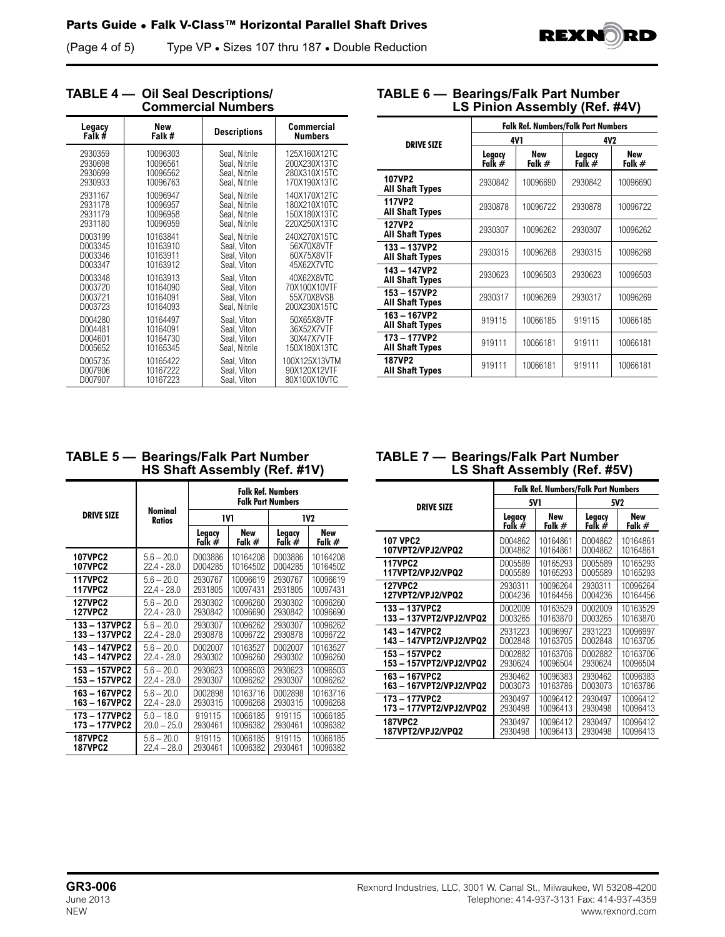(Page 4 of 5) Type VP • Sizes 107 thru 187 • Double Reduction



| <b>Commercial Numbers</b> |            |                     |                   |  |  |
|---------------------------|------------|---------------------|-------------------|--|--|
| Legacy                    | <b>New</b> | <b>Descriptions</b> | <b>Commercial</b> |  |  |
| Falk#                     | Falk #     |                     | <b>Numbers</b>    |  |  |
| 2930359                   | 10096303   | Seal, Nitrile       | 125X160X12TC      |  |  |
| 2930698                   | 10096561   | Seal, Nitrile       | 200X230X13TC      |  |  |
| 2930699                   | 10096562   | Seal, Nitrile       | 280X310X15TC      |  |  |
| 2930933                   | 10096763   | Seal, Nitrile       | 170X190X13TC      |  |  |
| 2931167                   | 10096947   | Seal, Nitrile       | 140X170X12TC      |  |  |
| 2931178                   | 10096957   | Seal, Nitrile       | 180X210X10TC      |  |  |
| 2931179                   | 10096958   | Seal, Nitrile       | 150X180X13TC      |  |  |
| 2931180                   | 10096959   | Seal, Nitrile       | 220X250X13TC      |  |  |
| D003199                   | 10163841   | Seal, Nitrile       | 240X270X15TC      |  |  |
| D003345                   | 10163910   | Seal, Viton         | 56X70X8VTF        |  |  |
| D003346                   | 10163911   | Seal, Viton         | 60X75X8VTF        |  |  |
| D003347                   | 10163912   | Seal, Viton         | 45X62X7VTC        |  |  |
| D003348                   | 10163913   | Seal, Viton         | 40X62X8VTC        |  |  |
| D003720                   | 10164090   | Seal, Viton         | 70X100X10VTF      |  |  |
| D003721                   | 10164091   | Seal, Viton         | 55X70X8VSB        |  |  |
| D003723                   | 10164093   | Seal, Nitrile       | 200X230X15TC      |  |  |
| D004280                   | 10164497   | Seal, Viton         | 50X65X8VTF        |  |  |
| D004481                   | 10164091   | Seal, Viton         | 36X52X7VTF        |  |  |
| D004601                   | 10164730   | Seal, Viton         | 30X47X7VTF        |  |  |
| D005652                   | 10165345   | Seal, Nitrile       | 150X180X13TC      |  |  |
| D005735                   | 10165422   | Seal, Viton         | 100X125X13VTM     |  |  |
| D007906                   | 10167222   | Seal, Viton         | 90X120X12VTF      |  |  |
| D007907                   | 10167223   | Seal, Viton         | 80X100X10VTC      |  |  |

**TABLE 4 — Oil Seal Descriptions/**

## **TABLE 6 — Bearings/Falk Part Number LS Pinion Assembly (Ref. #4V)**

|                                      | <b>Falk Ref. Numbers/Falk Part Numbers</b> |                      |                    |                        |  |
|--------------------------------------|--------------------------------------------|----------------------|--------------------|------------------------|--|
| <b>DRIVE SIZE</b>                    |                                            | 4V1                  | 4V2                |                        |  |
|                                      | Legacy<br>Falk #                           | <b>New</b><br>Falk # | Legacy<br>Falk $#$ | <b>New</b><br>Falk $#$ |  |
| 107VP2<br><b>All Shaft Types</b>     | 2930842                                    | 10096690             | 2930842            | 10096690               |  |
| 117VP2<br><b>All Shaft Types</b>     | 2930878                                    | 10096722             | 2930878            | 10096722               |  |
| 127VP2<br><b>All Shaft Types</b>     | 2930307                                    | 10096262             | 2930307            | 10096262               |  |
| 133-137VP2<br><b>All Shaft Types</b> | 2930315                                    | 10096268             | 2930315            | 10096268               |  |
| 143-147VP2<br><b>All Shaft Types</b> | 2930623                                    | 10096503             | 2930623            | 10096503               |  |
| 153-157VP2<br><b>All Shaft Types</b> | 2930317                                    | 10096269             | 2930317            | 10096269               |  |
| 163-167VP2<br><b>All Shaft Types</b> | 919115                                     | 10066185             | 919115             | 10066185               |  |
| 173-177VP2<br><b>All Shaft Types</b> | 919111                                     | 10066181             | 919111             | 10066181               |  |
| 187VP2<br><b>All Shaft Types</b>     | 919111                                     | 10066181             | 919111             | 10066181               |  |

# **TABLE 5 — Bearings/Falk Part Number HS Shaft Assembly (Ref. #1V)**

|                   | <b>Nominal</b><br><b>Ratios</b> | <b>Falk Ref. Numbers</b><br><b>Falk Part Numbers</b> |                 |                  |               |
|-------------------|---------------------------------|------------------------------------------------------|-----------------|------------------|---------------|
| <b>DRIVE SIZE</b> |                                 |                                                      | 1V1             | 1V2              |               |
|                   |                                 | Legacy<br>Falk #                                     | New<br>Falk $#$ | Legacy<br>Falk # | New<br>Falk # |
| <b>107VPC2</b>    | $5.6 - 20.0$                    | D003886                                              | 10164208        | D003886          | 10164208      |
| <b>107VPC2</b>    | $22.4 - 28.0$                   | D004285                                              | 10164502        | D004285          | 10164502      |
| <b>117VPC2</b>    | $5.6 - 20.0$                    | 2930767                                              | 10096619        | 2930767          | 10096619      |
| <b>117VPC2</b>    | $22.4 - 28.0$                   | 2931805                                              | 10097431        | 2931805          | 10097431      |
| <b>127VPC2</b>    | $5.6 - 20.0$                    | 2930302                                              | 10096260        | 2930302          | 10096260      |
| <b>127VPC2</b>    | $22.4 - 28.0$                   | 2930842                                              | 10096690        | 2930842          | 10096690      |
| 133-137VPC2       | $5.6 - 20.0$                    | 2930307                                              | 10096262        | 2930307          | 10096262      |
| 133-137VPC2       | $22.4 - 28.0$                   | 2930878                                              | 10096722        | 2930878          | 10096722      |
| 143-147VPC2       | $5.6 - 20.0$                    | D002007                                              | 10163527        | D002007          | 10163527      |
| 143-147VPC2       | 22.4 - 28.0                     | 2930302                                              | 10096260        | 2930302          | 10096260      |
| 153-157VPC2       | $5.6 - 20.0$                    | 2930623                                              | 10096503        | 2930623          | 10096503      |
| 153-157VPC2       | 22.4 - 28.0                     | 2930307                                              | 10096262        | 2930307          | 10096262      |
| 163-167VPC2       | $5.6 - 20.0$                    | D002898                                              | 10163716        | D002898          | 10163716      |
| 163-167VPC2       | $22.4 - 28.0$                   | 2930315                                              | 10096268        | 2930315          | 10096268      |
| 173-177VPC2       | $5.0 - 18.0$                    | 919115                                               | 10066185        | 919115           | 10066185      |
| 173-177VPC2       | $20.0 - 25.0$                   | 2930461                                              | 10096382        | 2930461          | 10096382      |
| <b>187VPC2</b>    | $5.6 - 20.0$                    | 919115                                               | 10066185        | 919115           | 10066185      |
| <b>187VPC2</b>    | $22.4 - 28.0$                   | 2930461                                              | 10096382        | 2930461          | 10096382      |

## **TABLE 7 — Bearings/Falk Part Number LS Shaft Assembly (Ref. #5V)**

|                       | <b>Falk Ref. Numbers/Falk Part Numbers</b> |          |          |            |
|-----------------------|--------------------------------------------|----------|----------|------------|
| <b>DRIVE SIZE</b>     |                                            | 5V 1     | 5V2      |            |
|                       | Legacy                                     | New      | Legacy   | <b>New</b> |
|                       | Falk #                                     | Falk $#$ | Falk $#$ | Falk $#$   |
| <b>107 VPC2</b>       | D004862                                    | 10164861 | D004862  | 10164861   |
| 107VPT2/VPJ2/VPQ2     | D004862                                    | 10164861 | D004862  | 10164861   |
| <b>117VPC2</b>        | D005589                                    | 10165293 | D005589  | 10165293   |
| 117VPT2/VPJ2/VPQ2     | D005589                                    | 10165293 | D005589  | 10165293   |
| <b>127VPC2</b>        | 2930311                                    | 10096264 | 2930311  | 10096264   |
| 127VPT2/VPJ2/VPQ2     | D004236                                    | 10164456 | D004236  | 10164456   |
| 133-137VPC2           | D002009                                    | 10163529 | D002009  | 10163529   |
| 133-137VPT2/VPJ2/VPQ2 | D003265                                    | 10163870 | D003265  | 10163870   |
| 143-147VPC2           | 2931223                                    | 10096997 | 2931223  | 10096997   |
| 143-147VPT2/VPJ2/VPQ2 | D002848                                    | 10163705 | D002848  | 10163705   |
| 153-157VPC2           | D002882                                    | 10163706 | D002882  | 10163706   |
| 153-157VPT2/VPJ2/VPQ2 | 2930624                                    | 10096504 | 2930624  | 10096504   |
| 163-167VPC2           | 2930462                                    | 10096383 | 2930462  | 10096383   |
| 163-167VPT2/VPJ2/VPQ2 | D003073                                    | 10163786 | D003073  | 10163786   |
| 173-177VPC2           | 2930497                                    | 10096412 | 2930497  | 10096412   |
| 173-177VPT2/VPJ2/VPQ2 | 2930498                                    | 10096413 | 2930498  | 10096413   |
| <b>187VPC2</b>        | 2930497                                    | 10096412 | 2930497  | 10096412   |
| 187VPT2/VPJ2/VPQ2     | 2930498                                    | 10096413 | 2930498  | 10096413   |